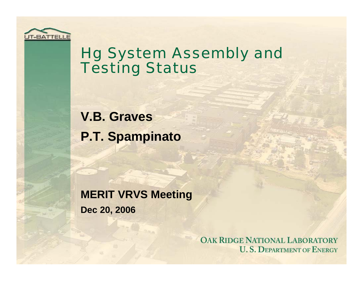

### Hg System Assembly and **Testing Status**

**V.B. Graves P.T. Spampinato**

**MERIT VRVS Meeting Dec 20, 2006**

> **OAK RIDGE NATIONAL LABORATORY U.S. DEPARTMENT OF ENERGY**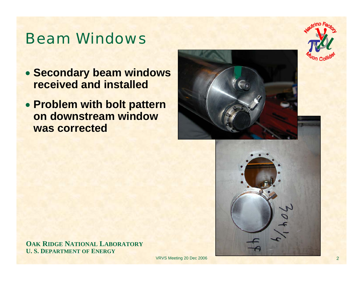#### Beam Windows

- **Secondary beam windows received and installed**
- **Problem with bolt pattern on downstream window was corrected**





**OAK RIDGE NATIONAL LABORATORY U. S. DEPARTMENT OF ENERGY**

VRVS Meeting 20 Dec 2006 2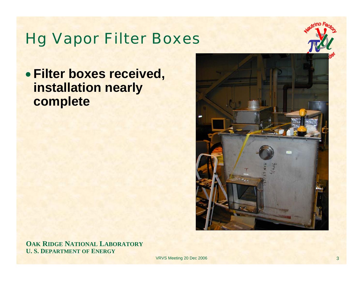#### Hg Vapor Filter Boxes



• **Filter boxes received, installation nearly complete**



**OAK RIDGE NATIONAL LABORATORY U. S. DEPARTMENT OF ENERGY**

VRVS Meeting 20 Dec 2006 3 3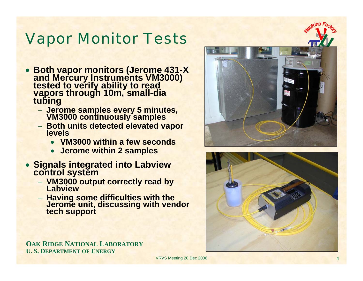#### Vapor Monitor Tests

- **Both vapor monitors (Jerome 431-X and Mercury Instruments VM3000) tested to verify ability to read vapors through 10m, small-dia tubing**
	- − **Jerome samples every 5 minutes, VM3000 continuously samples**
	- − **Both units detected elevated vapor levels**
		- **VM3000 within a few seconds**
		- **Jerome within 2 samples**
- **Signals integrated into Labview control system**
	- − **VM3000 output correctly read by Labview**
	- − **Having some difficulties with the Jerome unit, discussing with vendor tech support**

![](_page_3_Picture_9.jpeg)

![](_page_3_Picture_10.jpeg)

**OAK RIDGE NATIONAL LABORATORY U. S. DEPARTMENT OF ENERGY**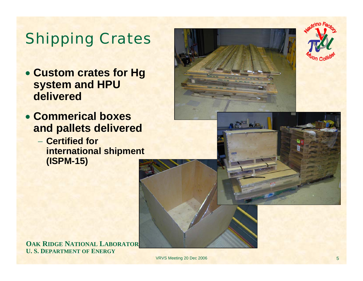# Shipping Crates

- **Custom crates for Hg system and HPU delivered**
- **Commerical boxes and pallets delivered**
	- − **Certified for international shipment (ISPM-15)**

**OAK RIDGE NATIONAL LABORATORY U. S. DEPARTMENT OF ENERGY**

VRVS Meeting 20 Dec 2006 5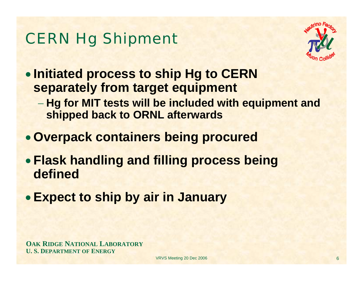# CERN Hg Shipment

![](_page_5_Picture_1.jpeg)

• **Initiated process to ship Hg to CERN separately from target equipment**

- **Hg for MIT tests will be included with equipment and shipped back to ORNL afterwards**
- **Overpack containers being procured**
- **Flask handling and filling process being defined**
- **Expect to ship by air in January**

**OAK RIDGE NATIONAL LABORATORY U. S. DEPARTMENT OF ENERGY**